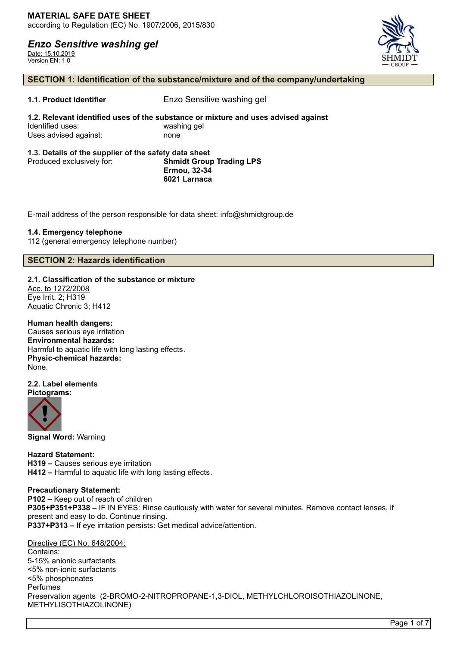Date: 15.10.2019 Version EN: 1.0



### **SECTION 1: Identification of the substance/mixture and of the company/undertaking**

**1.1. Product identifier** Enzo Sensitive washing gel

**1.2. Relevant identified uses of the substance or mixture and uses advised against** Identified uses: washing gel Uses advised against: none

#### **1.3. Details of the supplier of the safety data sheet** Produced exclusively for: **Shmidt Group Trading LPS Ermou, 32-34 6021 Larnaca**

E-mail address of the person responsible for data sheet: info@shmidtgroup.de

### **1.4. Emergency telephone**

112 (general emergency telephone number)

### **SECTION 2: Hazards identification**

**2.1. Classification of the substance or mixture** Acc. to 1272/2008

Eye Irrit. 2; H319 Aquatic Chronic 3; H412

**Human health dangers:**

Causes serious eye irritation **Environmental hazards:** Harmful to aquatic life with long lasting effects. **Physic-chemical hazards:** None.

#### **2.2. Label elements Pictograms:**



**Signal Word:** Warning

**Hazard Statement: H319 –** Causes serious eye irritation **H412 –** Harmful to aquatic life with long lasting effects.

### **Precautionary Statement:**

**P102 –** Keep out of reach of children **P305+P351+P338 –** IF IN EYES: Rinse cautiously with water for several minutes. Remove contact lenses, if present and easy to do. Continue rinsing. **P337+P313 –** If eye irritation persists: Get medical advice/attention.

Directive (EC) No. 648/2004:

Contains: 5-15% anionic surfactants <5% non-ionic surfactants <5% phosphonates Perfumes Preservation agents (2-BROMO-2-NITROPROPANE-1,3-DIOL, METHYLCHLOROISOTHIAZOLINONE, METHYLISOTHIAZOLINONE)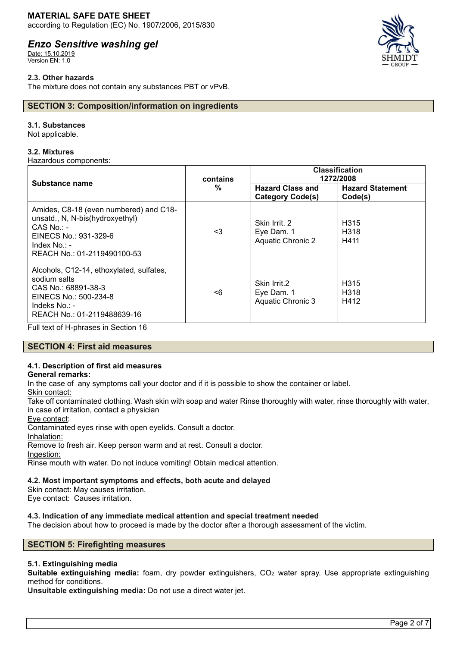## **MATERIAL SAFE DATE SHEET**

according to Regulation (EC) No. 1907/2006, 2015/830

# *Enzo Sensitive washing gel*

Date: 15.10.2019 Version EN: 1.0

### **2.3. Other hazards**

The mixture does not contain any substances PBT or vPvB.

### **SECTION 3: Composition/information on ingredients**

### **3.1. Substances**

Not applicable.

### **3.2. Mixtures**

Hazardous components:

| Substance name                                                                                                                                                       | contains<br>% | <b>Classification</b><br>1272/2008                      |                                               |
|----------------------------------------------------------------------------------------------------------------------------------------------------------------------|---------------|---------------------------------------------------------|-----------------------------------------------|
|                                                                                                                                                                      |               | <b>Hazard Class and</b><br><b>Category Code(s)</b>      | <b>Hazard Statement</b><br>Code(s)            |
| Amides, C8-18 (even numbered) and C18-<br>unsatd., N, N-bis(hydroxyethyl)<br>$CAS$ No.: -<br>EINECS No.: 931-329-6<br>Index $No. : -$<br>REACH No.: 01-2119490100-53 | <3            | Skin Irrit, 2<br>Eye Dam. 1<br><b>Aquatic Chronic 2</b> | H <sub>315</sub><br>H <sub>318</sub><br>H411  |
| Alcohols, C12-14, ethoxylated, sulfates,<br>sodium salts<br>CAS No.: 68891-38-3<br>EINECS No.: 500-234-8<br>Indeks No.: -<br>REACH No.: 01-2119488639-16             | <6            | Skin Irrit.2<br>Eye Dam. 1<br><b>Aquatic Chronic 3</b>  | H <sub>315</sub><br>H <sub>3</sub> 18<br>H412 |

Full text of H-phrases in Section 16

### **SECTION 4: First aid measures**

# **4.1. Description of first aid measures**

### **General remarks:**

In the case of any symptoms call your doctor and if it is possible to show the container or label.

Skin contact:

Take off contaminated clothing. Wash skin with soap and water Rinse thoroughly with water, rinse thoroughly with water, in case of irritation, contact a physician

Eye contact:

Contaminated eyes rinse with open eyelids. Consult a doctor.

Inhalation:

Remove to fresh air. Keep person warm and at rest. Consult a doctor.

Ingestion:

Rinse mouth with water. Do not induce vomiting! Obtain medical attention.

### **4.2. Most important symptoms and effects, both acute and delayed**

Skin contact: May causes irritation.

Eye contact: Causes irritation.

### **4.3. Indication of any immediate medical attention and special treatment needed**

The decision about how to proceed is made by the doctor after a thorough assessment of the victim.

### **SECTION 5: Firefighting measures**

### **5.1. Extinguishing media**

**Suitable extinguishing media:** foam, dry powder extinguishers, CO2, water spray. Use appropriate extinguishing method for conditions.

**Unsuitable extinguishing media:** Do not use a direct water jet.

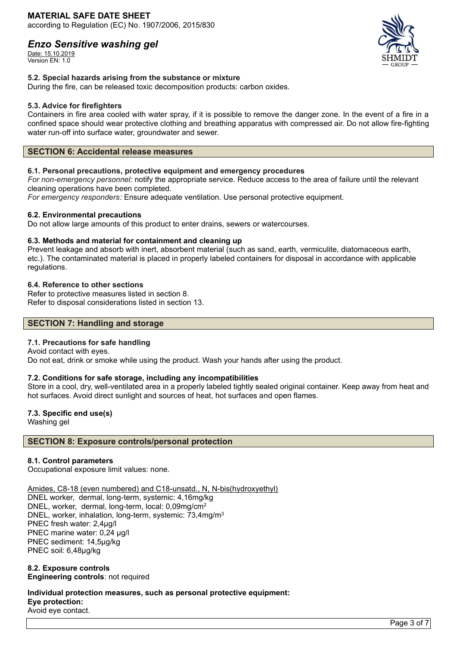### **MATERIAL SAFE DATE SHEET** according to Regulation (EC) No. 1907/2006, 2015/830

# *Enzo Sensitive washing gel*

Date: 15.10.2019 Version EN: 1.0



### **5.2. Special hazards arising from the substance or mixture**

During the fire, can be released toxic decomposition products: carbon oxides.

### **5.3. Advice for firefighters**

Containers in fire area cooled with water spray, if it is possible to remove the danger zone. In the event of a fire in a confined space should wear protective clothing and breathing apparatus with compressed air. Do not allow fire-fighting water run-off into surface water, groundwater and sewer.

### **SECTION 6: Accidental release measures**

### **6.1. Personal precautions, protective equipment and emergency procedures**

*For non-emergency personnel:* notify the appropriate service. Reduce access to the area of failure until the relevant cleaning operations have been completed.

*For emergency responders:* Ensure adequate ventilation. Use personal protective equipment.

### **6.2. Environmental precautions**

Do not allow large amounts of this product to enter drains, sewers or watercourses.

### **6.3. Methods and material for containment and cleaning up**

Prevent leakage and absorb with inert, absorbent material (such as sand, earth, vermiculite, diatomaceous earth, etc.). The contaminated material is placed in properly labeled containers for disposal in accordance with applicable regulations.

### **6.4. Reference to other sections**

Refer to protective measures listed in section 8. Refer to disposal considerations listed in section 13.

### **SECTION 7: Handling and storage**

### **7.1. Precautions for safe handling**

Avoid contact with eyes. Do not eat, drink or smoke while using the product. Wash your hands after using the product.

### **7.2. Conditions for safe storage, including any incompatibilities**

Store in a cool, dry, well-ventilated area in a properly labeled tightly sealed original container. Keep away from heat and hot surfaces. Avoid direct sunlight and sources of heat, hot surfaces and open flames.

### **7.3. Specific end use(s)**

Washing gel

### **SECTION 8: Exposure controls/personal protection**

### **8.1. Control parameters**

Occupational exposure limit values: none.

Amides, C8-18 (even numbered) and C18-unsatd., N, N-bis(hydroxyethyl)

DNEL worker, dermal, long-term, systemic: 4,16mg/kg DNEL, worker, dermal, long-term, local: 0,09mg/cm<sup>2</sup> DNEL, worker, inhalation, long-term, systemic: 73,4mg/m<sup>3</sup> PNEC fresh water: 2,4µg/l PNEC marine water: 0,24 µg/l PNEC sediment: 14,5µg/kg PNEC soil: 6,48µg/kg

**8.2. Exposure controls Engineering controls**: not required

### **Individual protection measures, such as personal protective equipment: Eye protection:** Avoid eye contact.

Page 3 of 7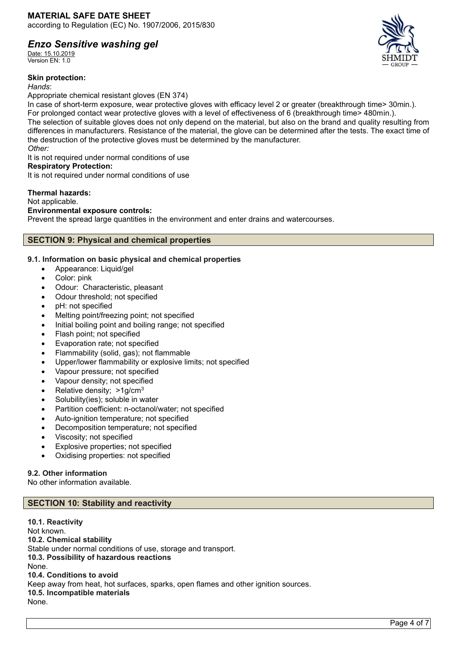Date: 15.10.2019 Version EN: 1.0

### **Skin protection:**

*Hands*:

Appropriate chemical resistant gloves (EN 374)

In case of short-term exposure, wear protective gloves with efficacy level 2 or greater (breakthrough time> 30min.). For prolonged contact wear protective gloves with a level of effectiveness of 6 (breakthrough time> 480min.). The selection of suitable gloves does not only depend on the material, but also on the brand and quality resulting from differences in manufacturers. Resistance of the material, the glove can be determined after the tests. The exact time of the destruction of the protective gloves must be determined by the manufacturer. *Other:*

It is not required under normal conditions of use

### **Respiratory Protection:**

It is not required under normal conditions of use

### **Thermal hazards:**

Not applicable.

### **Environmental exposure controls:**

Prevent the spread large quantities in the environment and enter drains and watercourses.

### **SECTION 9: Physical and chemical properties**

### **9.1. Information on basic physical and chemical properties**

- Appearance: Liquid/gel
- Color: pink
- Odour: Characteristic, pleasant
- Odour threshold; not specified
- pH: not specified
- Melting point/freezing point; not specified
- Initial boiling point and boiling range; not specified
- Flash point; not specified
- Evaporation rate; not specified
- Flammability (solid, gas); not flammable
- Upper/lower flammability or explosive limits; not specified
- Vapour pressure; not specified
- Vapour density; not specified
- Relative density;  $>1$ g/cm<sup>3</sup>
- Solubility(ies); soluble in water
- Partition coefficient: n-octanol/water; not specified
- Auto-ignition temperature; not specified
- Decomposition temperature; not specified
- Viscosity; not specified
- Explosive properties; not specified
- Oxidising properties: not specified

### **9.2. Other information**

No other information available.

### **SECTION 10: Stability and reactivity**

**10.1. Reactivity** Not known. **10.2. Chemical stability** Stable under normal conditions of use, storage and transport. **10.3. Possibility of hazardous reactions** None. **10.4. Conditions to avoid** Keep away from heat, hot surfaces, sparks, open flames and other ignition sources. **10.5. Incompatible materials** None.

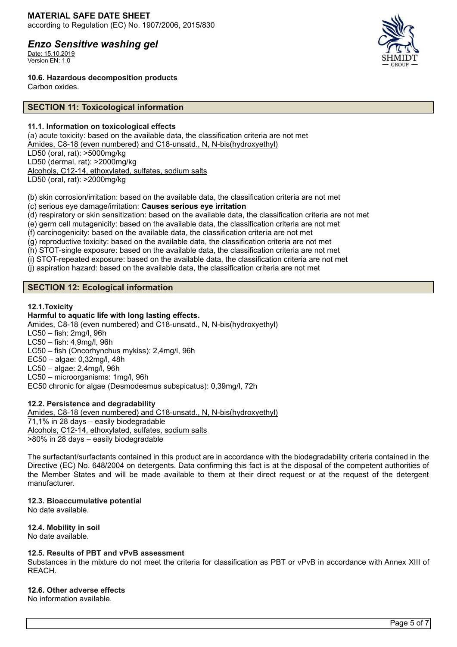Date: 15.10.2019 Version EN: 1.0



**10.6. Hazardous decomposition products**

Carbon oxides.

### **SECTION 11: Toxicological information**

### **11.1. Information on toxicological effects**

(a) acute toxicity: based on the available data, the classification criteria are not met Amides, C8-18 (even numbered) and C18-unsatd., N, N-bis(hydroxyethyl) LD50 (oral, rat): >5000mg/kg LD50 (dermal, rat): >2000mg/kg Alcohols, C12-14, ethoxylated, sulfates, sodium salts LD50 (oral, rat): >2000mg/kg

(b) skin corrosion/irritation: based on the available data, the classification criteria are not met

(c) serious eye damage/irritation: **Causes serious eye irritation**

(d) respiratory or skin sensitization: based on the available data, the classification criteria are not met

(e) germ cell mutagenicity: based on the available data, the classification criteria are not met

(f) carcinogenicity: based on the available data, the classification criteria are not met

(g) reproductive toxicity: based on the available data, the classification criteria are not met

(h) STOT-single exposure: based on the available data, the classification criteria are not met

(i) STOT-repeated exposure: based on the available data, the classification criteria are not met

(j) aspiration hazard: based on the available data, the classification criteria are not met

# **SECTION 12: Ecological information**

### **12.1.Toxicity**

**Harmful to aquatic life with long lasting effects.** Amides, C8-18 (even numbered) and C18-unsatd., N, N-bis(hydroxyethyl) LC50 – fish: 2mg/l, 96h LC50 – fish: 4,9mg/l, 96h

LC50 – fish (Oncorhynchus mykiss): 2,4mg/l, 96h

- EC50 algae: 0,32mg/l, 48h
- LC50 algae: 2,4mg/l, 96h

LC50 – microorganisms: 1mg/l, 96h

EC50 chronic for algae (Desmodesmus subspicatus): 0,39mg/l, 72h

# **12.2. Persistence and degradability**

Amides, C8-18 (even numbered) and C18-unsatd., N, N-bis(hydroxyethyl) 71,1% in 28 days – easily biodegradable Alcohols, C12-14, ethoxylated, sulfates, sodium salts >80% in 28 days – easily biodegradable

The surfactant/surfactants contained in this product are in accordance with the biodegradability criteria contained in the Directive (EC) No. 648/2004 on detergents. Data confirming this fact is at the disposal of the competent authorities of the Member States and will be made available to them at their direct request or at the request of the detergent manufacturer.

# **12.3. Bioaccumulative potential**

No date available.

**12.4. Mobility in soil** No date available.

### **12.5. Results of PBT and vPvB assessment**

Substances in the mixture do not meet the criteria for classification as PBT or vPvB in accordance with Annex XIII of REACH.

### **12.6. Other adverse effects**

No information available.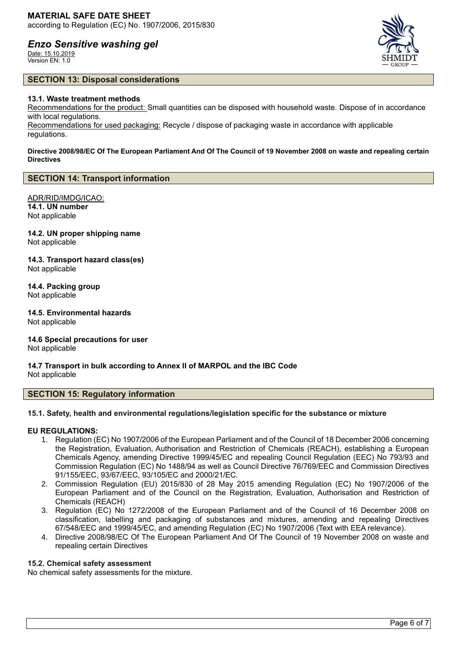Date: 15.10.2019 Version EN: 1.0



### **SECTION 13: Disposal considerations**

### **13.1. Waste treatment methods**

Recommendations for the product: Small quantities can be disposed with household waste. Dispose of in accordance with local regulations.

Recommendations for used packaging: Recycle / dispose of packaging waste in accordance with applicable regulations.

### **Directive 2008/98/EC Of The European Parliament And Of The Council of 19 November 2008 on waste and repealing certain Directives**

### **SECTION 14: Transport information**

ADR/RID/IMDG/ICAO: **14.1. UN number** Not applicable

**14.2. UN proper shipping name** Not applicable

**14.3. Transport hazard class(es)** Not applicable

**14.4. Packing group** Not applicable

**14.5. Environmental hazards** Not applicable

**14.6 Special precautions for user** Not applicable

**14.7 Transport in bulk according to Annex II of MARPOL and the IBC Code** Not applicable

### **SECTION 15: Regulatory information**

### **15.1. Safety, health and environmental regulations/legislation specific for the substance or mixture**

### **EU REGULATIONS:**

- 1. Regulation (EC) No 1907/2006 of the European Parliament and of the Council of 18 December 2006 concerning the Registration, Evaluation, Authorisation and Restriction of Chemicals (REACH), establishing a European Chemicals Agency, amending Directive 1999/45/EC and repealing Council Regulation (EEC) No 793/93 and Commission Regulation (EC) No 1488/94 as well as Council Directive 76/769/EEC and Commission Directives 91/155/EEC, 93/67/EEC, 93/105/EC and 2000/21/EC.
- 2. Commission Regulation (EU) 2015/830 of 28 May 2015 amending Regulation (EC) No 1907/2006 of the European Parliament and of the Council on the Registration, Evaluation, Authorisation and Restriction of Chemicals (REACH)
- 3. Regulation (EC) No 1272/2008 of the European Parliament and of the Council of 16 December 2008 on classification, labelling and packaging of substances and mixtures, amending and repealing Directives 67/548/EEC and 1999/45/EC, and amending Regulation (EC) No 1907/2006 (Text with EEA relevance).
- 4. Directive 2008/98/EC Of The European Parliament And Of The Council of 19 November 2008 on waste and repealing certain Directives

### **15.2. Chemical safety assessment**

No chemical safety assessments for the mixture.